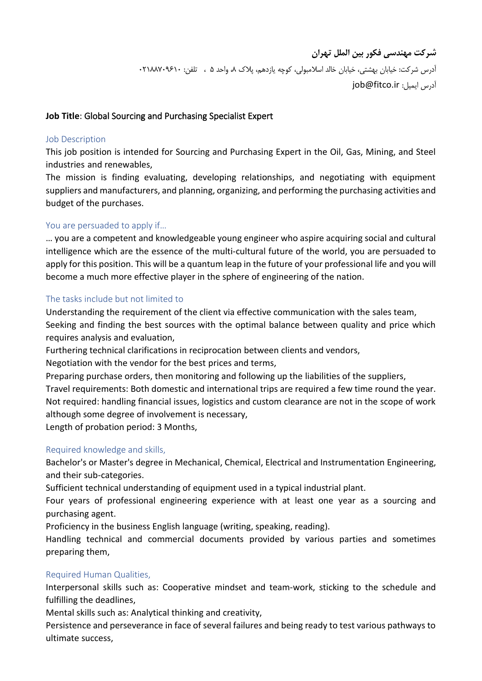## **Job Title**: Global Sourcing and Purchasing Specialist Expert

#### Job Description

This job position is intended for Sourcing and Purchasing Expert in the Oil, Gas, Mining, and Steel industries and renewables,

The mission is finding evaluating, developing relationships, and negotiating with equipment suppliers and manufacturers, and planning, organizing, and performing the purchasing activities and budget of the purchases.

#### You are persuaded to apply if…

… you are a competent and knowledgeable young engineer who aspire acquiring social and cultural intelligence which are the essence of the multi-cultural future of the world, you are persuaded to apply for this position. This will be a quantum leap in the future of your professional life and you will become a much more effective player in the sphere of engineering of the nation.

#### The tasks include but not limited to

Understanding the requirement of the client via effective communication with the sales team, Seeking and finding the best sources with the optimal balance between quality and price which requires analysis and evaluation,

Furthering technical clarifications in reciprocation between clients and vendors,

Negotiation with the vendor for the best prices and terms,

Preparing purchase orders, then monitoring and following up the liabilities of the suppliers, Travel requirements: Both domestic and international trips are required a few time round the year. Not required: handling financial issues, logistics and custom clearance are not in the scope of work

although some degree of involvement is necessary,

Length of probation period: 3 Months,

### Required knowledge and skills,

Bachelor's or Master's degree in Mechanical, Chemical, Electrical and Instrumentation Engineering, and their sub-categories.

Sufficient technical understanding of equipment used in a typical industrial plant.

Four years of professional engineering experience with at least one year as a sourcing and purchasing agent.

Proficiency in the business English language (writing, speaking, reading).

Handling technical and commercial documents provided by various parties and sometimes preparing them,

### Required Human Qualities,

Interpersonal skills such as: Cooperative mindset and team-work, sticking to the schedule and fulfilling the deadlines,

Mental skills such as: Analytical thinking and creativity,

Persistence and perseverance in face of several failures and being ready to test various pathways to ultimate success,